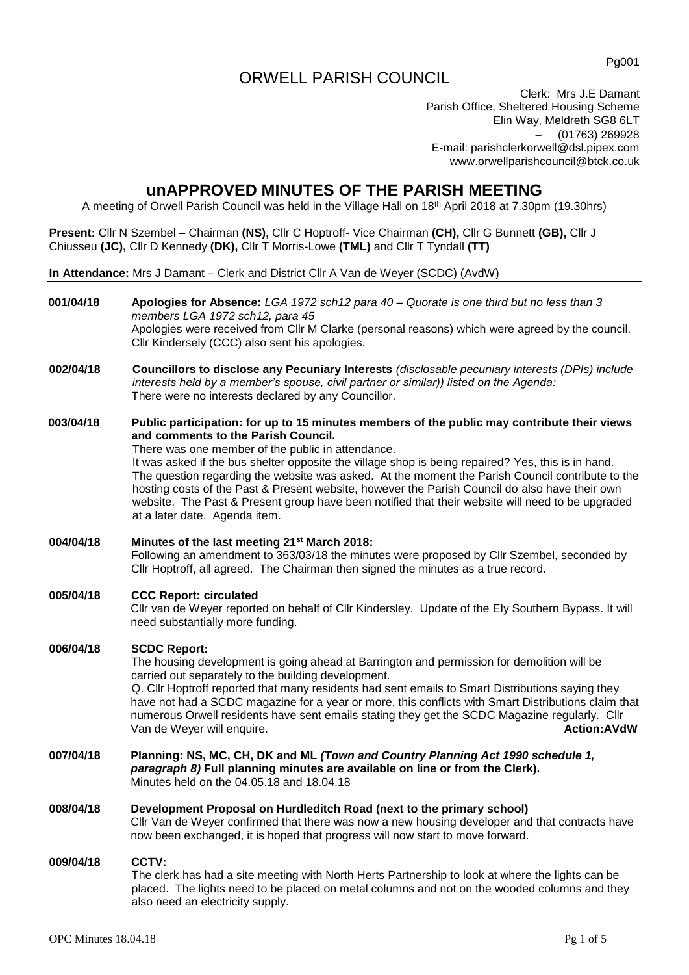# ORWELL PARISH COUNCIL

Pg001

Clerk: Mrs J.E Damant Parish Office, Sheltered Housing Scheme Elin Way, Meldreth SG8 6LT − (01763) 269928 E-mail: [parishclerkorwell@dsl.pipex.com](mailto:parishclerkorwell@dsl.pipex.com) [www.orwellparishcouncil@btck.co.uk](http://www.orwellparishcouncil@btck.co.uk)

# **unAPPROVED MINUTES OF THE PARISH MEETING**

A meeting of Orwell Parish Council was held in the Village Hall on 18th April 2018 at 7.30pm (19.30hrs)

**Present:** Cllr N Szembel – Chairman **(NS),** Cllr C Hoptroff- Vice Chairman **(CH),** Cllr G Bunnett **(GB),** Cllr J Chiusseu **(JC),** Cllr D Kennedy **(DK),** Cllr T Morris-Lowe **(TML)** and Cllr T Tyndall **(TT)**

**In Attendance:** Mrs J Damant – Clerk and District Cllr A Van de Weyer (SCDC) (AvdW)

| 001/04/18 | Apologies for Absence: LGA 1972 sch12 para $40 -$ Quorate is one third but no less than 3<br>members LGA 1972 sch12, para 45<br>Apologies were received from Cllr M Clarke (personal reasons) which were agreed by the council.<br>Cllr Kindersely (CCC) also sent his apologies.                                                                                                                                                                                                                                                                                                                                                        |
|-----------|------------------------------------------------------------------------------------------------------------------------------------------------------------------------------------------------------------------------------------------------------------------------------------------------------------------------------------------------------------------------------------------------------------------------------------------------------------------------------------------------------------------------------------------------------------------------------------------------------------------------------------------|
| 002/04/18 | Councillors to disclose any Pecuniary Interests (disclosable pecuniary interests (DPIs) include<br>interests held by a member's spouse, civil partner or similar)) listed on the Agenda:<br>There were no interests declared by any Councillor.                                                                                                                                                                                                                                                                                                                                                                                          |
| 003/04/18 | Public participation: for up to 15 minutes members of the public may contribute their views<br>and comments to the Parish Council.<br>There was one member of the public in attendance.<br>It was asked if the bus shelter opposite the village shop is being repaired? Yes, this is in hand.<br>The question regarding the website was asked. At the moment the Parish Council contribute to the<br>hosting costs of the Past & Present website, however the Parish Council do also have their own<br>website. The Past & Present group have been notified that their website will need to be upgraded<br>at a later date. Agenda item. |
| 004/04/18 | Minutes of the last meeting 21 <sup>st</sup> March 2018:<br>Following an amendment to 363/03/18 the minutes were proposed by Cllr Szembel, seconded by<br>Cllr Hoptroff, all agreed. The Chairman then signed the minutes as a true record.                                                                                                                                                                                                                                                                                                                                                                                              |
| 005/04/18 | <b>CCC Report: circulated</b><br>Cllr van de Weyer reported on behalf of Cllr Kindersley. Update of the Ely Southern Bypass. It will<br>need substantially more funding.                                                                                                                                                                                                                                                                                                                                                                                                                                                                 |
| 006/04/18 | <b>SCDC Report:</b><br>The housing development is going ahead at Barrington and permission for demolition will be<br>carried out separately to the building development.<br>Q. Cllr Hoptroff reported that many residents had sent emails to Smart Distributions saying they<br>have not had a SCDC magazine for a year or more, this conflicts with Smart Distributions claim that<br>numerous Orwell residents have sent emails stating they get the SCDC Magazine regularly. Cllr<br>Van de Weyer will enquire.<br><b>Action:AVdW</b>                                                                                                 |
| 007/04/18 | Planning: NS, MC, CH, DK and ML (Town and Country Planning Act 1990 schedule 1,<br>paragraph 8) Full planning minutes are available on line or from the Clerk).<br>Minutes held on the 04.05.18 and 18.04.18                                                                                                                                                                                                                                                                                                                                                                                                                             |
| 008/04/18 | Development Proposal on Hurdleditch Road (next to the primary school)<br>Cllr Van de Weyer confirmed that there was now a new housing developer and that contracts have<br>now been exchanged, it is hoped that progress will now start to move forward.                                                                                                                                                                                                                                                                                                                                                                                 |
| 009/04/18 | <b>CCTV:</b><br>The clerk has had a site meeting with North Herts Partnership to look at where the lights can be<br>placed. The lights need to be placed on metal columns and not on the wooded columns and they<br>also need an electricity supply.                                                                                                                                                                                                                                                                                                                                                                                     |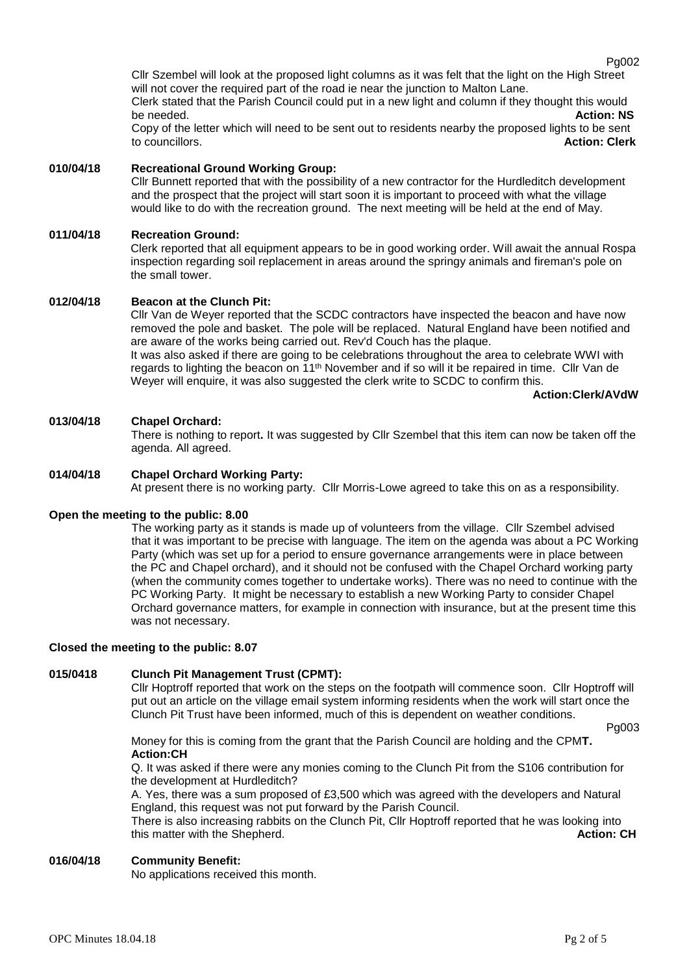Pg002

Cllr Szembel will look at the proposed light columns as it was felt that the light on the High Street will not cover the required part of the road ie near the junction to Malton Lane. Clerk stated that the Parish Council could put in a new light and column if they thought this would be needed. **Action: NS** Copy of the letter which will need to be sent out to residents nearby the proposed lights to be sent

to councillors. **Action: Clerk**

# **010/04/18 Recreational Ground Working Group:**

Cllr Bunnett reported that with the possibility of a new contractor for the Hurdleditch development and the prospect that the project will start soon it is important to proceed with what the village would like to do with the recreation ground. The next meeting will be held at the end of May.

### **011/04/18 Recreation Ground:**

Clerk reported that all equipment appears to be in good working order. Will await the annual Rospa inspection regarding soil replacement in areas around the springy animals and fireman's pole on the small tower.

### **012/04/18 Beacon at the Clunch Pit:**

Cllr Van de Weyer reported that the SCDC contractors have inspected the beacon and have now removed the pole and basket. The pole will be replaced. Natural England have been notified and are aware of the works being carried out. Rev'd Couch has the plaque.

It was also asked if there are going to be celebrations throughout the area to celebrate WWI with regards to lighting the beacon on 11<sup>th</sup> November and if so will it be repaired in time. Cllr Van de Weyer will enquire, it was also suggested the clerk write to SCDC to confirm this.

#### **Action:Clerk/AVdW**

# **013/04/18 Chapel Orchard:**

There is nothing to report**.** It was suggested by Cllr Szembel that this item can now be taken off the agenda. All agreed.

# **014/04/18 Chapel Orchard Working Party:**

At present there is no working party. Cllr Morris-Lowe agreed to take this on as a responsibility.

### **Open the meeting to the public: 8.00**

The working party as it stands is made up of volunteers from the village. Cllr Szembel advised that it was important to be precise with language. The item on the agenda was about a PC Working Party (which was set up for a period to ensure governance arrangements were in place between the PC and Chapel orchard), and it should not be confused with the Chapel Orchard working party (when the community comes together to undertake works). There was no need to continue with the PC Working Party. It might be necessary to establish a new Working Party to consider Chapel Orchard governance matters, for example in connection with insurance, but at the present time this was not necessary.

### **Closed the meeting to the public: 8.07**

### **015/0418 Clunch Pit Management Trust (CPMT):**

Cllr Hoptroff reported that work on the steps on the footpath will commence soon. Cllr Hoptroff will put out an article on the village email system informing residents when the work will start once the Clunch Pit Trust have been informed, much of this is dependent on weather conditions.

Pg003

Money for this is coming from the grant that the Parish Council are holding and the CPM**T. Action:CH**

Q. It was asked if there were any monies coming to the Clunch Pit from the S106 contribution for the development at Hurdleditch?

A. Yes, there was a sum proposed of £3,500 which was agreed with the developers and Natural England, this request was not put forward by the Parish Council.

There is also increasing rabbits on the Clunch Pit, Cllr Hoptroff reported that he was looking into this matter with the Shepherd. **Action: CH**

### **016/04/18 Community Benefit:**

No applications received this month.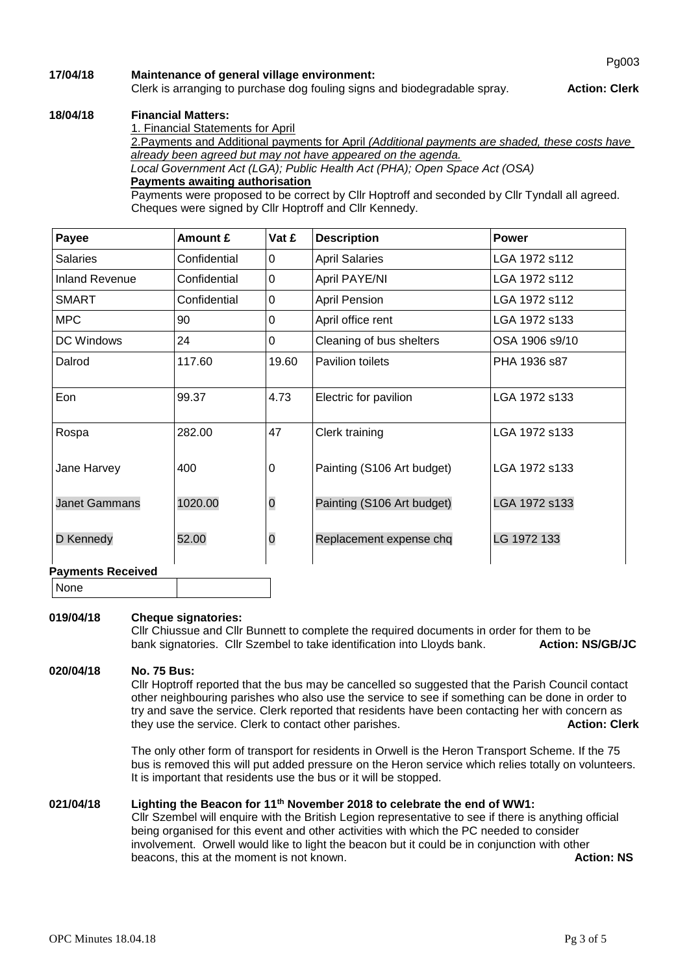# **17/04/18 Maintenance of general village environment:**

# Clerk is arranging to purchase dog fouling signs and biodegradable spray. **Action: Clerk**

# **18/04/18 Financial Matters:**

1. Financial Statements for April

2.Payments and Additional payments for April *(Additional payments are shaded, these costs have already been agreed but may not have appeared on the agenda.*

*Local Government Act (LGA); Public Health Act (PHA); Open Space Act (OSA)* **Payments awaiting authorisation**

Payments were proposed to be correct by Cllr Hoptroff and seconded by Cllr Tyndall all agreed. Cheques were signed by Cllr Hoptroff and Cllr Kennedy.

| Payee                    | Amount £     | Vat £          | <b>Description</b>         | <b>Power</b>   |  |  |
|--------------------------|--------------|----------------|----------------------------|----------------|--|--|
| <b>Salaries</b>          | Confidential | $\Omega$       | <b>April Salaries</b>      | LGA 1972 s112  |  |  |
| <b>Inland Revenue</b>    | Confidential | $\Omega$       | April PAYE/NI              | LGA 1972 s112  |  |  |
| <b>SMART</b>             | Confidential | $\mathbf 0$    | <b>April Pension</b>       | LGA 1972 s112  |  |  |
| <b>MPC</b>               | 90           | 0              | April office rent          | LGA 1972 s133  |  |  |
| DC Windows               | 24           | $\mathbf 0$    | Cleaning of bus shelters   | OSA 1906 s9/10 |  |  |
| Dalrod                   | 117.60       | 19.60          | Pavilion toilets           | PHA 1936 s87   |  |  |
| Eon                      | 99.37        | 4.73           | Electric for pavilion      | LGA 1972 s133  |  |  |
| Rospa                    | 282.00       | 47             | Clerk training             | LGA 1972 s133  |  |  |
| Jane Harvey              | 400          | 0              | Painting (S106 Art budget) | LGA 1972 s133  |  |  |
| <b>Janet Gammans</b>     | 1020.00      | $\overline{0}$ | Painting (S106 Art budget) | LGA 1972 s133  |  |  |
| D Kennedy                | 52.00        | $\overline{O}$ | Replacement expense chq    | LG 1972 133    |  |  |
| <b>Payments Received</b> |              |                |                            |                |  |  |

None

# **019/04/18 Cheque signatories:**

Cllr Chiussue and Cllr Bunnett to complete the required documents in order for them to be bank signatories. Cllr Szembel to take identification into Lloyds bank. **Action: NS/GB/JC**

## **020/04/18 No. 75 Bus:**

Cllr Hoptroff reported that the bus may be cancelled so suggested that the Parish Council contact other neighbouring parishes who also use the service to see if something can be done in order to try and save the service. Clerk reported that residents have been contacting her with concern as they use the service. Clerk to contact other parishes. **Action: Clerk**

The only other form of transport for residents in Orwell is the Heron Transport Scheme. If the 75 bus is removed this will put added pressure on the Heron service which relies totally on volunteers. It is important that residents use the bus or it will be stopped.

# **021/04/18 Lighting the Beacon for 11th November 2018 to celebrate the end of WW1:**

Cllr Szembel will enquire with the British Legion representative to see if there is anything official being organised for this event and other activities with which the PC needed to consider involvement. Orwell would like to light the beacon but it could be in conjunction with other beacons, this at the moment is not known. **Action: NS Action: NS**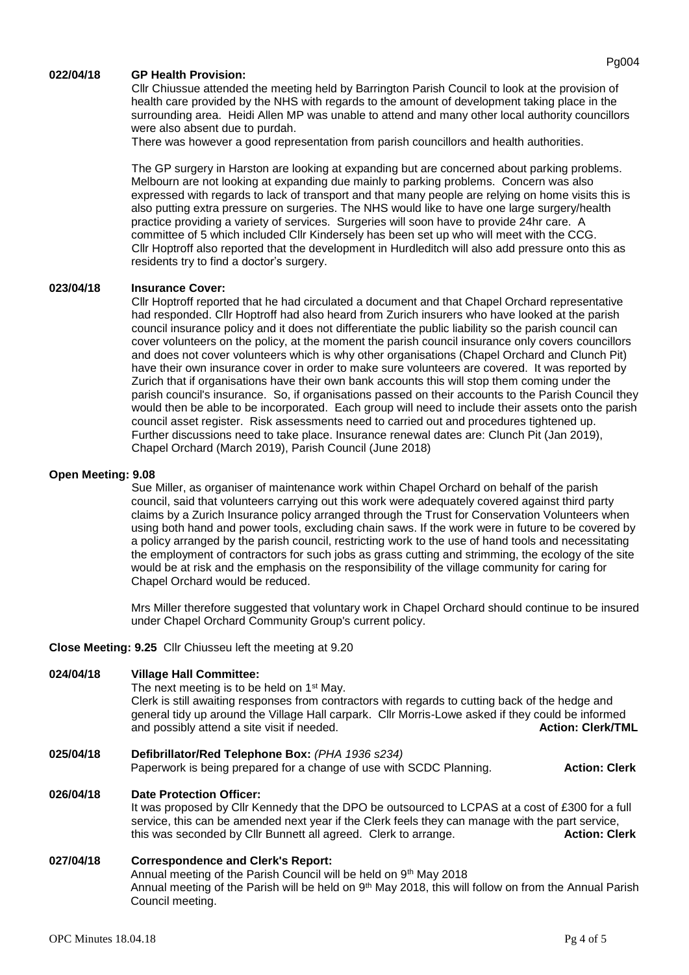### **022/04/18 GP Health Provision:**

Cllr Chiussue attended the meeting held by Barrington Parish Council to look at the provision of health care provided by the NHS with regards to the amount of development taking place in the surrounding area. Heidi Allen MP was unable to attend and many other local authority councillors were also absent due to purdah.

There was however a good representation from parish councillors and health authorities.

The GP surgery in Harston are looking at expanding but are concerned about parking problems. Melbourn are not looking at expanding due mainly to parking problems. Concern was also expressed with regards to lack of transport and that many people are relying on home visits this is also putting extra pressure on surgeries. The NHS would like to have one large surgery/health practice providing a variety of services. Surgeries will soon have to provide 24hr care. A committee of 5 which included Cllr Kindersely has been set up who will meet with the CCG. Cllr Hoptroff also reported that the development in Hurdleditch will also add pressure onto this as residents try to find a doctor's surgery.

### **023/04/18 Insurance Cover:**

Cllr Hoptroff reported that he had circulated a document and that Chapel Orchard representative had responded. Cllr Hoptroff had also heard from Zurich insurers who have looked at the parish council insurance policy and it does not differentiate the public liability so the parish council can cover volunteers on the policy, at the moment the parish council insurance only covers councillors and does not cover volunteers which is why other organisations (Chapel Orchard and Clunch Pit) have their own insurance cover in order to make sure volunteers are covered. It was reported by Zurich that if organisations have their own bank accounts this will stop them coming under the parish council's insurance. So, if organisations passed on their accounts to the Parish Council they would then be able to be incorporated. Each group will need to include their assets onto the parish council asset register. Risk assessments need to carried out and procedures tightened up. Further discussions need to take place. Insurance renewal dates are: Clunch Pit (Jan 2019), Chapel Orchard (March 2019), Parish Council (June 2018)

#### **Open Meeting: 9.08**

Sue Miller, as organiser of maintenance work within Chapel Orchard on behalf of the parish council, said that volunteers carrying out this work were adequately covered against third party claims by a Zurich Insurance policy arranged through the Trust for Conservation Volunteers when using both hand and power tools, excluding chain saws. If the work were in future to be covered by a policy arranged by the parish council, restricting work to the use of hand tools and necessitating the employment of contractors for such jobs as grass cutting and strimming, the ecology of the site would be at risk and the emphasis on the responsibility of the village community for caring for Chapel Orchard would be reduced.

Mrs Miller therefore suggested that voluntary work in Chapel Orchard should continue to be insured under Chapel Orchard Community Group's current policy.

### **Close Meeting: 9.25** Cllr Chiusseu left the meeting at 9.20

| 024/04/18 | <b>Village Hall Committee:</b><br>The next meeting is to be held on 1 <sup>st</sup> May.<br>Clerk is still awaiting responses from contractors with regards to cutting back of the hedge and<br>general tidy up around the Village Hall carpark. Cllr Morris-Lowe asked if they could be informed<br>and possibly attend a site visit if needed. | <b>Action: Clerk/TML</b> |
|-----------|--------------------------------------------------------------------------------------------------------------------------------------------------------------------------------------------------------------------------------------------------------------------------------------------------------------------------------------------------|--------------------------|
| 025/04/18 | Defibrillator/Red Telephone Box: (PHA 1936 s234)<br>Paperwork is being prepared for a change of use with SCDC Planning.                                                                                                                                                                                                                          | <b>Action: Clerk</b>     |
| 026/04/18 | <b>Date Protection Officer:</b><br>It was proposed by Cllr Kennedy that the DPO be outsourced to LCPAS at a cost of £300 for a full<br>service, this can be amended next year if the Clerk feels they can manage with the part service,<br>this was seconded by Cllr Bunnett all agreed. Clerk to arrange.                                       | <b>Action: Clerk</b>     |

### **027/04/18 Correspondence and Clerk's Report:**  Annual meeting of the Parish Council will be held on 9<sup>th</sup> May 2018 Annual meeting of the Parish will be held on 9<sup>th</sup> May 2018, this will follow on from the Annual Parish Council meeting.

Pg004